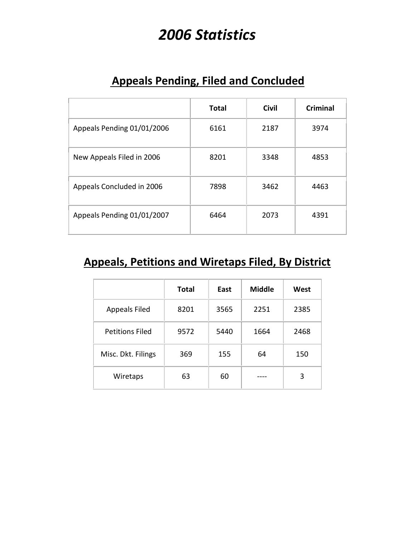# *2006 Statistics*

|                            | <b>Total</b> | <b>Civil</b> | Criminal |
|----------------------------|--------------|--------------|----------|
| Appeals Pending 01/01/2006 | 6161         | 2187         | 3974     |
| New Appeals Filed in 2006  | 8201         | 3348         | 4853     |
| Appeals Concluded in 2006  | 7898         | 3462         | 4463     |
| Appeals Pending 01/01/2007 | 6464         | 2073         | 4391     |

#### **Appeals Pending, Filed and Concluded**

#### **Appeals, Petitions and Wiretaps Filed, By District**

|                        | <b>Total</b> | East | <b>Middle</b> | West |
|------------------------|--------------|------|---------------|------|
| <b>Appeals Filed</b>   | 8201         | 3565 | 2251          | 2385 |
| <b>Petitions Filed</b> | 9572         | 5440 | 1664          | 2468 |
| Misc. Dkt. Filings     | 369          | 155  | 64            | 150  |
| Wiretaps               | 63           | 60   |               | 3    |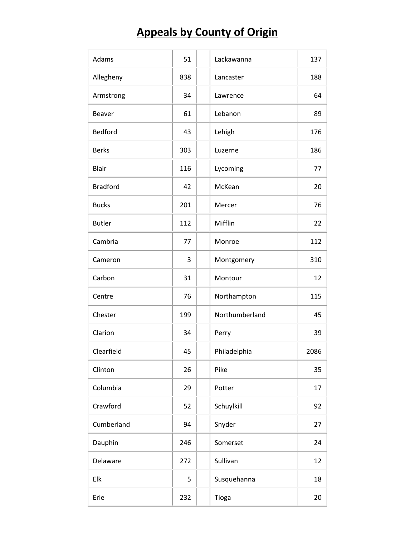# **Appeals by County of Origin**

| Adams           | 51  | Lackawanna     | 137  |
|-----------------|-----|----------------|------|
| Allegheny       | 838 | Lancaster      | 188  |
| Armstrong       | 34  | Lawrence       | 64   |
| <b>Beaver</b>   | 61  | Lebanon        | 89   |
| Bedford         | 43  | Lehigh         | 176  |
| <b>Berks</b>    | 303 | Luzerne        | 186  |
| <b>Blair</b>    | 116 | Lycoming       | 77   |
| <b>Bradford</b> | 42  | McKean         | 20   |
| <b>Bucks</b>    | 201 | Mercer         | 76   |
| <b>Butler</b>   | 112 | Mifflin        | 22   |
| Cambria         | 77  | Monroe         | 112  |
| Cameron         | 3   | Montgomery     | 310  |
| Carbon          | 31  | Montour        | 12   |
| Centre          | 76  | Northampton    | 115  |
| Chester         | 199 | Northumberland | 45   |
| Clarion         | 34  | Perry          | 39   |
| Clearfield      | 45  | Philadelphia   | 2086 |
| Clinton         | 26  | Pike           | 35   |
| Columbia        | 29  | Potter         | 17   |
| Crawford        | 52  | Schuylkill     | 92   |
| Cumberland      | 94  | Snyder         | 27   |
| Dauphin         | 246 | Somerset       | 24   |
| Delaware        | 272 | Sullivan       | 12   |
| Elk             | 5   | Susquehanna    | 18   |
| Erie            | 232 | Tioga          | 20   |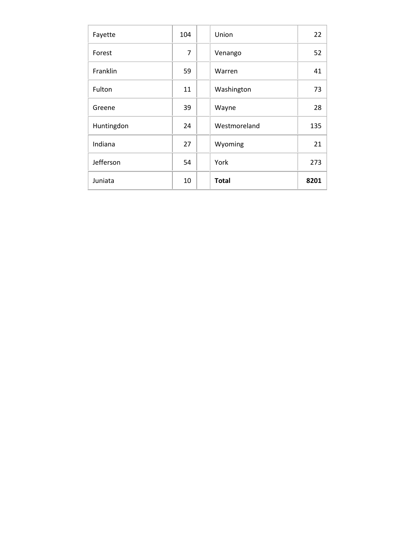| Fayette    | 104 | Union        | 22   |
|------------|-----|--------------|------|
| Forest     | 7   | Venango      | 52   |
| Franklin   | 59  | Warren       | 41   |
| Fulton     | 11  | Washington   | 73   |
| Greene     | 39  | Wayne        | 28   |
| Huntingdon | 24  | Westmoreland | 135  |
| Indiana    | 27  | Wyoming      | 21   |
| Jefferson  | 54  | York         | 273  |
| Juniata    | 10  | <b>Total</b> | 8201 |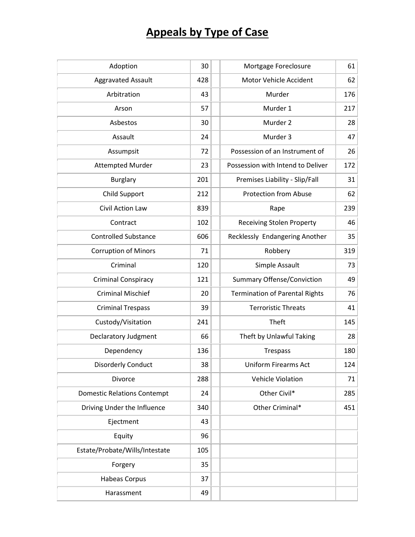# **Appeals by Type of Case**

| Adoption                           | 30  | Mortgage Foreclosure                  | 61  |
|------------------------------------|-----|---------------------------------------|-----|
| <b>Aggravated Assault</b>          | 428 | Motor Vehicle Accident                | 62  |
| Arbitration                        | 43  | Murder                                | 176 |
| Arson                              | 57  | Murder 1                              | 217 |
| Asbestos                           | 30  | Murder 2                              | 28  |
| Assault                            | 24  | Murder 3                              | 47  |
| Assumpsit                          | 72  | Possession of an Instrument of        | 26  |
| <b>Attempted Murder</b>            | 23  | Possession with Intend to Deliver     | 172 |
| <b>Burglary</b>                    | 201 | Premises Liability - Slip/Fall        | 31  |
| Child Support                      | 212 | <b>Protection from Abuse</b>          | 62  |
| Civil Action Law                   | 839 | Rape                                  | 239 |
| Contract                           | 102 | <b>Receiving Stolen Property</b>      | 46  |
| <b>Controlled Substance</b>        | 606 | Recklessly Endangering Another        | 35  |
| <b>Corruption of Minors</b>        | 71  | Robbery                               | 319 |
| Criminal                           | 120 | Simple Assault                        | 73  |
| <b>Criminal Conspiracy</b>         | 121 | <b>Summary Offense/Conviction</b>     | 49  |
| <b>Criminal Mischief</b>           | 20  | <b>Termination of Parental Rights</b> | 76  |
| <b>Criminal Trespass</b>           | 39  | <b>Terroristic Threats</b>            | 41  |
| Custody/Visitation                 | 241 | Theft                                 | 145 |
| Declaratory Judgment               | 66  | Theft by Unlawful Taking              | 28  |
| Dependency                         | 136 | <b>Trespass</b>                       | 180 |
| <b>Disorderly Conduct</b>          | 38  | <b>Uniform Firearms Act</b>           | 124 |
| Divorce                            | 288 | <b>Vehicle Violation</b>              | 71  |
| <b>Domestic Relations Contempt</b> | 24  | Other Civil*                          | 285 |
| Driving Under the Influence        | 340 | Other Criminal*                       | 451 |
| Ejectment                          | 43  |                                       |     |
| Equity                             | 96  |                                       |     |
| Estate/Probate/Wills/Intestate     | 105 |                                       |     |
| Forgery                            | 35  |                                       |     |
| <b>Habeas Corpus</b>               | 37  |                                       |     |
| Harassment                         | 49  |                                       |     |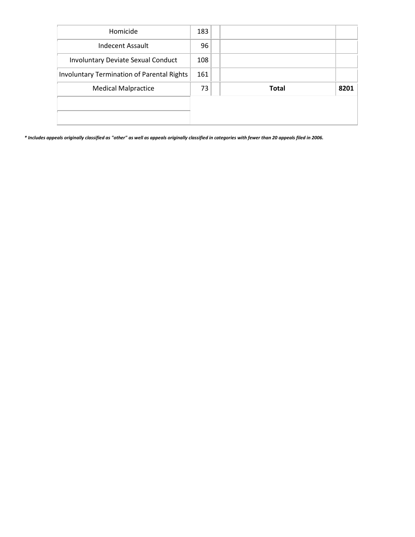| Homicide                                          | 183 |              |      |
|---------------------------------------------------|-----|--------------|------|
| Indecent Assault                                  | 96  |              |      |
| <b>Involuntary Deviate Sexual Conduct</b>         | 108 |              |      |
| <b>Involuntary Termination of Parental Rights</b> | 161 |              |      |
| <b>Medical Malpractice</b>                        | 73  | <b>Total</b> | 8201 |
|                                                   |     |              |      |
|                                                   |     |              |      |

*\* Includes appeals originally classified as "other" as well as appeals originally classified in categories with fewer than 20 appeals filed in 2006.*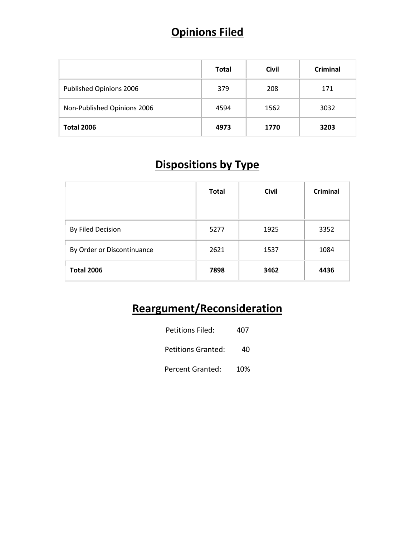## **Opinions Filed**

|                             | <b>Total</b> | <b>Civil</b> | <b>Criminal</b> |
|-----------------------------|--------------|--------------|-----------------|
| Published Opinions 2006     | 379          | 208          | 171             |
| Non-Published Opinions 2006 | 4594         | 1562         | 3032            |
| <b>Total 2006</b>           | 4973         | 1770         | 3203            |

## **Dispositions by Type**

|                            | <b>Total</b> | <b>Civil</b> | <b>Criminal</b> |
|----------------------------|--------------|--------------|-----------------|
| By Filed Decision          | 5277         | 1925         | 3352            |
| By Order or Discontinuance | 2621         | 1537         | 1084            |
| <b>Total 2006</b>          | 7898         | 3462         | 4436            |

# **Reargument/Reconsideration**

| Petitions Filed:   | 407 |
|--------------------|-----|
| Petitions Granted: | 40  |
| Percent Granted:   | 10% |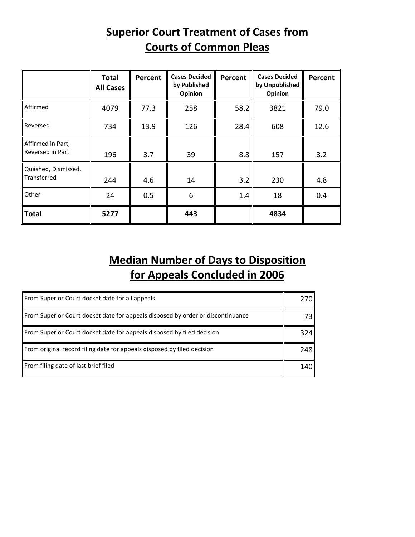#### **Superior Court Treatment of Cases from Courts of Common Pleas**

|                                       | <b>Total</b><br><b>All Cases</b> | Percent | <b>Cases Decided</b><br>by Published<br>Opinion | Percent | <b>Cases Decided</b><br>by Unpublished<br>Opinion | Percent |
|---------------------------------------|----------------------------------|---------|-------------------------------------------------|---------|---------------------------------------------------|---------|
| Affirmed                              | 4079                             | 77.3    | 258                                             | 58.2    | 3821                                              | 79.0    |
| Reversed                              | 734                              | 13.9    | 126                                             | 28.4    | 608                                               | 12.6    |
| Affirmed in Part,<br>Reversed in Part | 196                              | 3.7     | 39                                              | 8.8     | 157                                               | 3.2     |
| Quashed, Dismissed,<br>Transferred    | 244                              | 4.6     | 14                                              | 3.2     | 230                                               | 4.8     |
| Other                                 | 24                               | 0.5     | 6                                               | 1.4     | 18                                                | 0.4     |
| <b>Total</b>                          | 5277                             |         | 443                                             |         | 4834                                              |         |

## **Median Number of Days to Disposition for Appeals Concluded in 2006**

| From Superior Court docket date for all appeals                                 | 270I  |
|---------------------------------------------------------------------------------|-------|
| From Superior Court docket date for appeals disposed by order or discontinuance | 73 I  |
| From Superior Court docket date for appeals disposed by filed decision          | 324 I |
| From original record filing date for appeals disposed by filed decision         | 248I  |
| From filing date of last brief filed                                            | 140 l |